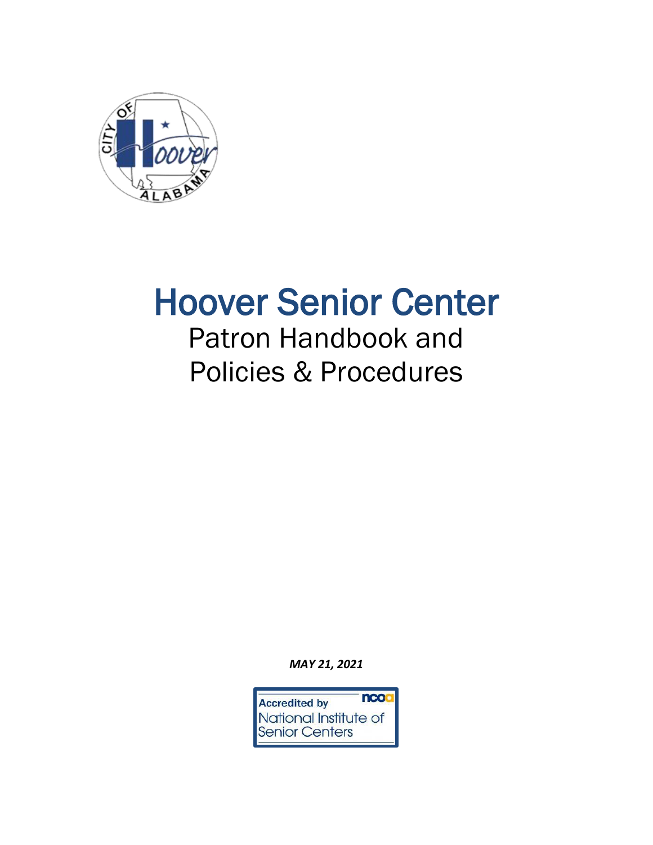

# Hoover Senior Center

## Patron Handbook and Policies & Procedures

*MAY 21, 2021*

ncoa **Accredited by** National Institute of **Senior Centers**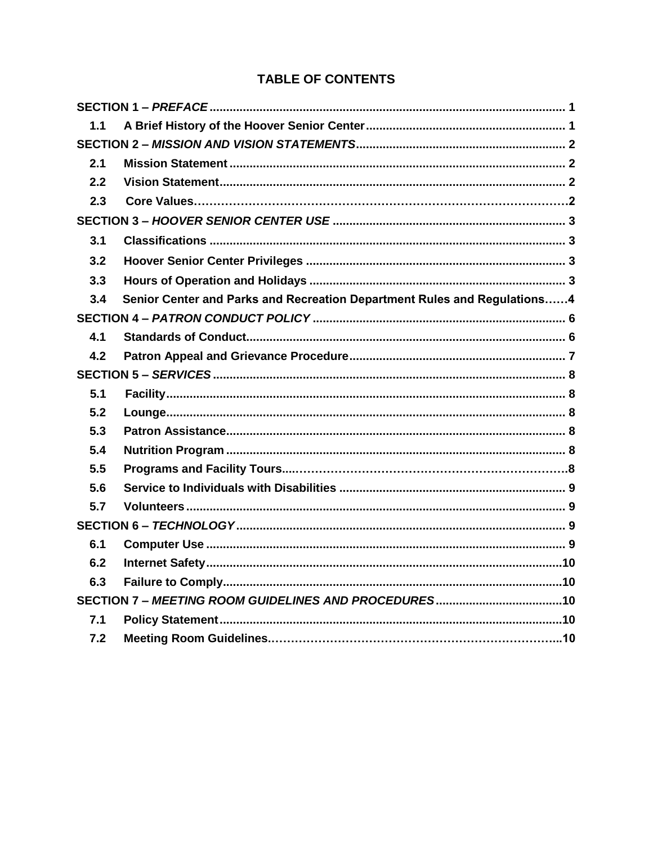## **TABLE OF CONTENTS**

| 1.1 |                                                                          |  |
|-----|--------------------------------------------------------------------------|--|
|     |                                                                          |  |
| 2.1 |                                                                          |  |
| 2.2 |                                                                          |  |
| 2.3 |                                                                          |  |
|     |                                                                          |  |
| 3.1 |                                                                          |  |
| 3.2 |                                                                          |  |
| 3.3 |                                                                          |  |
| 3.4 | Senior Center and Parks and Recreation Department Rules and Regulations4 |  |
|     |                                                                          |  |
| 4.1 |                                                                          |  |
| 4.2 |                                                                          |  |
|     |                                                                          |  |
| 5.1 |                                                                          |  |
| 5.2 |                                                                          |  |
| 5.3 |                                                                          |  |
| 5.4 |                                                                          |  |
| 5.5 |                                                                          |  |
| 5.6 |                                                                          |  |
| 5.7 |                                                                          |  |
|     |                                                                          |  |
| 6.1 |                                                                          |  |
| 6.2 |                                                                          |  |
| 6.3 |                                                                          |  |
|     |                                                                          |  |
| 7.1 |                                                                          |  |
| 7.2 |                                                                          |  |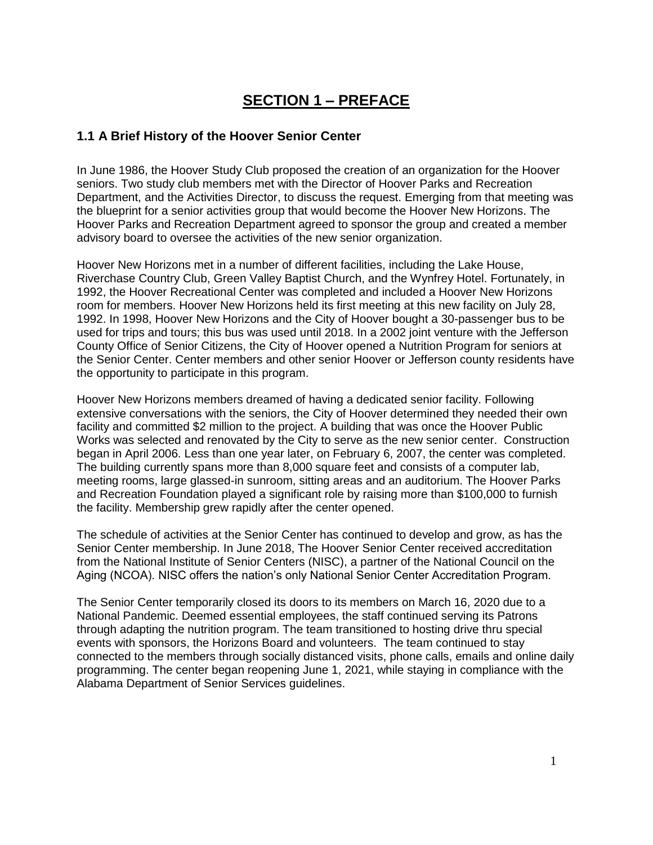## **SECTION 1 – PREFACE**

#### <span id="page-2-1"></span><span id="page-2-0"></span>**1.1 A Brief History of the Hoover Senior Center**

In June 1986, the Hoover Study Club proposed the creation of an organization for the Hoover seniors. Two study club members met with the Director of Hoover Parks and Recreation Department, and the Activities Director, to discuss the request. Emerging from that meeting was the blueprint for a senior activities group that would become the Hoover New Horizons. The Hoover Parks and Recreation Department agreed to sponsor the group and created a member advisory board to oversee the activities of the new senior organization.

Hoover New Horizons met in a number of different facilities, including the Lake House, Riverchase Country Club, Green Valley Baptist Church, and the Wynfrey Hotel. Fortunately, in 1992, the Hoover Recreational Center was completed and included a Hoover New Horizons room for members. Hoover New Horizons held its first meeting at this new facility on July 28, 1992. In 1998, Hoover New Horizons and the City of Hoover bought a 30-passenger bus to be used for trips and tours; this bus was used until 2018. In a 2002 joint venture with the Jefferson County Office of Senior Citizens, the City of Hoover opened a Nutrition Program for seniors at the Senior Center. Center members and other senior Hoover or Jefferson county residents have the opportunity to participate in this program.

Hoover New Horizons members dreamed of having a dedicated senior facility. Following extensive conversations with the seniors, the City of Hoover determined they needed their own facility and committed \$2 million to the project. A building that was once the Hoover Public Works was selected and renovated by the City to serve as the new senior center. Construction began in April 2006. Less than one year later, on February 6, 2007, the center was completed. The building currently spans more than 8,000 square feet and consists of a computer lab, meeting rooms, large glassed-in sunroom, sitting areas and an auditorium. The Hoover Parks and Recreation Foundation played a significant role by raising more than \$100,000 to furnish the facility. Membership grew rapidly after the center opened.

The schedule of activities at the Senior Center has continued to develop and grow, as has the Senior Center membership. In June 2018, The Hoover Senior Center received accreditation from the National Institute of Senior Centers (NISC), a partner of the National Council on the Aging (NCOA). NISC offers the nation's only National Senior Center Accreditation Program.

<span id="page-2-2"></span>The Senior Center temporarily closed its doors to its members on March 16, 2020 due to a National Pandemic. Deemed essential employees, the staff continued serving its Patrons through adapting the nutrition program. The team transitioned to hosting drive thru special events with sponsors, the Horizons Board and volunteers. The team continued to stay connected to the members through socially distanced visits, phone calls, emails and online daily programming. The center began reopening June 1, 2021, while staying in compliance with the Alabama Department of Senior Services guidelines.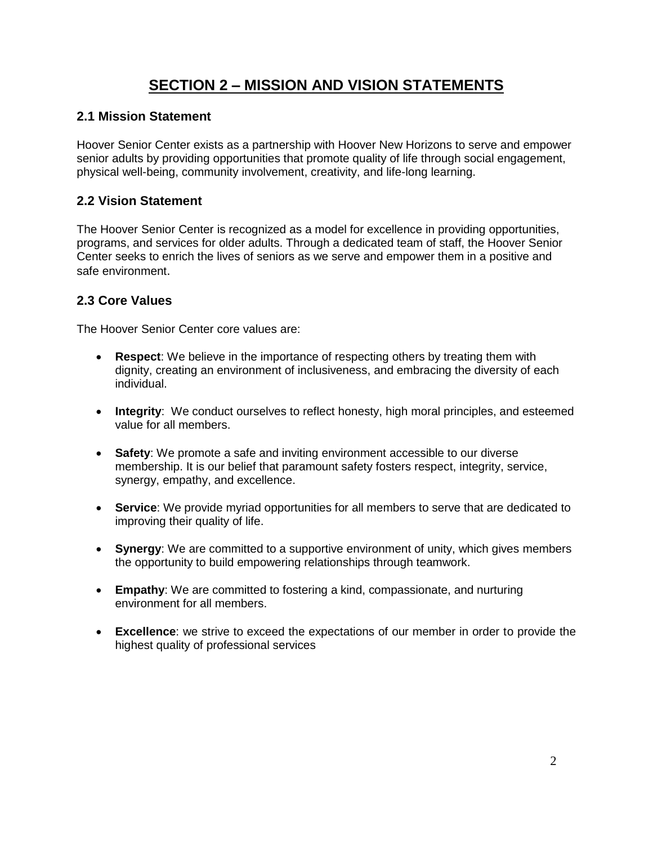## **SECTION 2 – MISSION AND VISION STATEMENTS**

#### <span id="page-3-0"></span>**2.1 Mission Statement**

Hoover Senior Center exists as a partnership with Hoover New Horizons to serve and empower senior adults by providing opportunities that promote quality of life through social engagement, physical well-being, community involvement, creativity, and life-long learning.

#### <span id="page-3-1"></span>**2.2 Vision Statement**

The Hoover Senior Center is recognized as a model for excellence in providing opportunities, programs, and services for older adults. Through a dedicated team of staff, the Hoover Senior Center seeks to enrich the lives of seniors as we serve and empower them in a positive and safe environment.

#### **2.3 Core Values**

The Hoover Senior Center core values are:

- **Respect**: We believe in the importance of respecting others by treating them with dignity, creating an environment of inclusiveness, and embracing the diversity of each individual.
- **Integrity**: We conduct ourselves to reflect honesty, high moral principles, and esteemed value for all members.
- **Safety**: We promote a safe and inviting environment accessible to our diverse membership. It is our belief that paramount safety fosters respect, integrity, service, synergy, empathy, and excellence.
- **Service**: We provide myriad opportunities for all members to serve that are dedicated to improving their quality of life.
- **Synergy**: We are committed to a supportive environment of unity, which gives members the opportunity to build empowering relationships through teamwork.
- **Empathy**: We are committed to fostering a kind, compassionate, and nurturing environment for all members.
- <span id="page-3-2"></span> **Excellence**: we strive to exceed the expectations of our member in order to provide the highest quality of professional services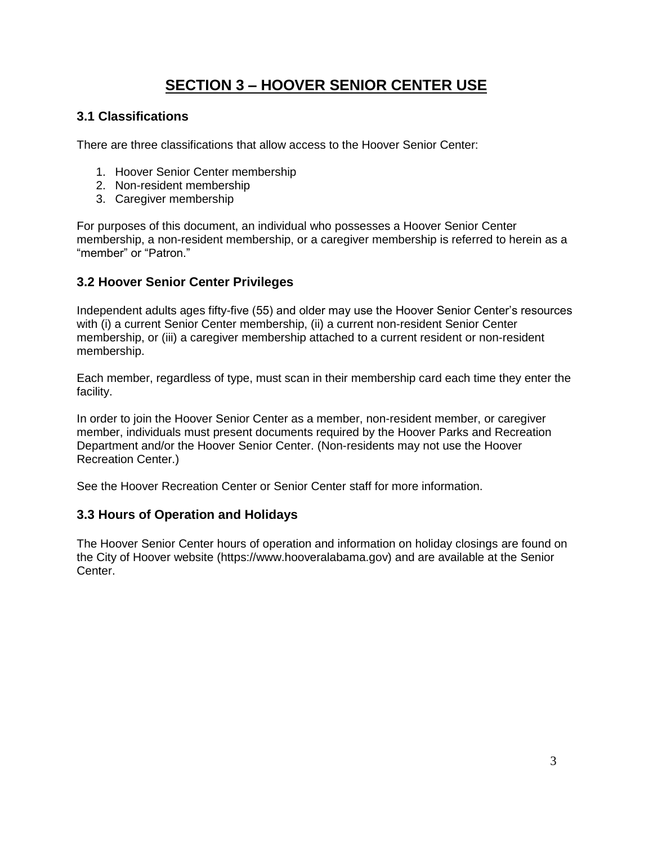## **SECTION 3 – HOOVER SENIOR CENTER USE**

#### <span id="page-4-0"></span>**3.1 Classifications**

There are three classifications that allow access to the Hoover Senior Center:

- 1. Hoover Senior Center membership
- 2. Non-resident membership
- 3. Caregiver membership

For purposes of this document, an individual who possesses a Hoover Senior Center membership, a non-resident membership, or a caregiver membership is referred to herein as a "member" or "Patron."

#### <span id="page-4-1"></span>**3.2 Hoover Senior Center Privileges**

Independent adults ages fifty-five (55) and older may use the Hoover Senior Center's resources with (i) a current Senior Center membership, (ii) a current non-resident Senior Center membership, or (iii) a caregiver membership attached to a current resident or non-resident membership.

Each member, regardless of type, must scan in their membership card each time they enter the facility.

In order to join the Hoover Senior Center as a member, non-resident member, or caregiver member, individuals must present documents required by the Hoover Parks and Recreation Department and/or the Hoover Senior Center. (Non-residents may not use the Hoover Recreation Center.)

See the Hoover Recreation Center or Senior Center staff for more information.

#### <span id="page-4-2"></span>**3.3 Hours of Operation and Holidays**

<span id="page-4-3"></span>The Hoover Senior Center hours of operation and information on holiday closings are found on the City of Hoover website (https://www.hooveralabama.gov) and are available at the Senior Center.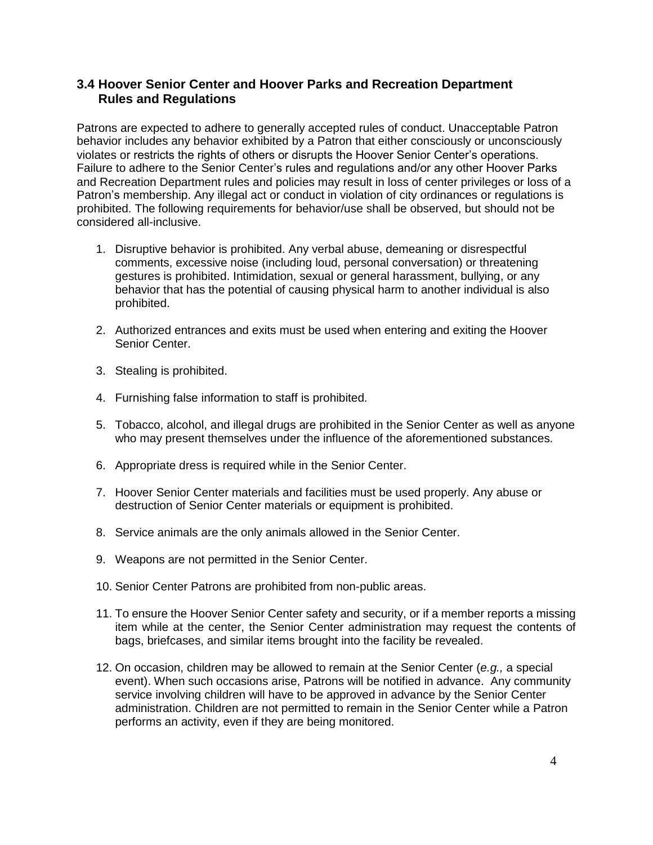#### **3.4 Hoover Senior Center and Hoover Parks and Recreation Department Rules and Regulations**

Patrons are expected to adhere to generally accepted rules of conduct. Unacceptable Patron behavior includes any behavior exhibited by a Patron that either consciously or unconsciously violates or restricts the rights of others or disrupts the Hoover Senior Center's operations. Failure to adhere to the Senior Center's rules and regulations and/or any other Hoover Parks and Recreation Department rules and policies may result in loss of center privileges or loss of a Patron's membership. Any illegal act or conduct in violation of city ordinances or regulations is prohibited. The following requirements for behavior/use shall be observed, but should not be considered all-inclusive.

- 1. Disruptive behavior is prohibited. Any verbal abuse, demeaning or disrespectful comments, excessive noise (including loud, personal conversation) or threatening gestures is prohibited. Intimidation, sexual or general harassment, bullying, or any behavior that has the potential of causing physical harm to another individual is also prohibited.
- 2. Authorized entrances and exits must be used when entering and exiting the Hoover Senior Center.
- 3. Stealing is prohibited.
- 4. Furnishing false information to staff is prohibited.
- 5. Tobacco, alcohol, and illegal drugs are prohibited in the Senior Center as well as anyone who may present themselves under the influence of the aforementioned substances.
- 6. Appropriate dress is required while in the Senior Center.
- 7. Hoover Senior Center materials and facilities must be used properly. Any abuse or destruction of Senior Center materials or equipment is prohibited.
- 8. Service animals are the only animals allowed in the Senior Center.
- 9. Weapons are not permitted in the Senior Center.
- 10. Senior Center Patrons are prohibited from non-public areas.
- 11. To ensure the Hoover Senior Center safety and security, or if a member reports a missing item while at the center, the Senior Center administration may request the contents of bags, briefcases, and similar items brought into the facility be revealed.
- 12. On occasion, children may be allowed to remain at the Senior Center (*e.g.,* a special event). When such occasions arise, Patrons will be notified in advance. Any community service involving children will have to be approved in advance by the Senior Center administration. Children are not permitted to remain in the Senior Center while a Patron performs an activity, even if they are being monitored.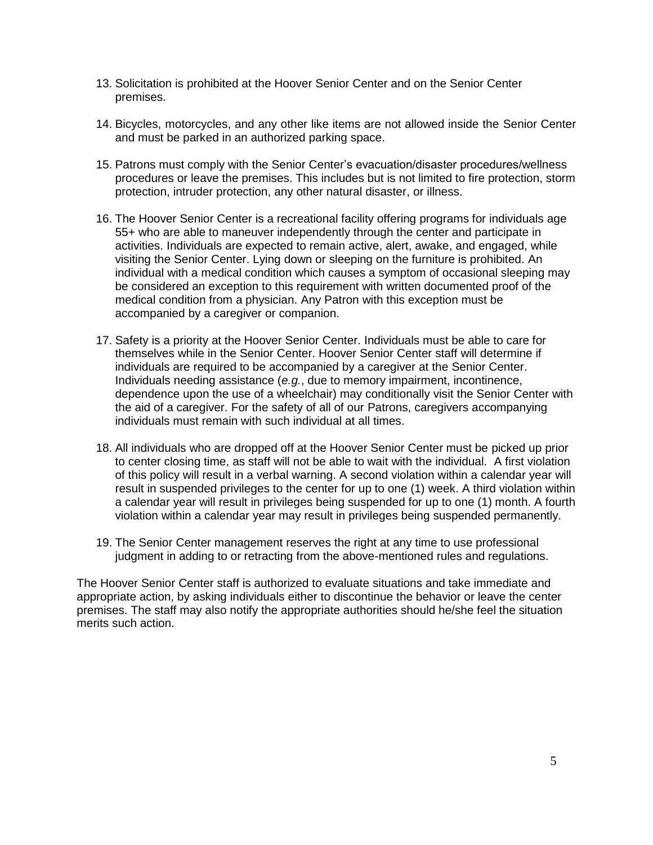- 13. Solicitation is prohibited at the Hoover Senior Center and on the Senior Center premises.
- 14. Bicycles, motorcycles, and any other like items are not allowed inside the Senior Center and must be parked in an authorized parking space.
- 15. Patrons must comply with the Senior Center's evacuation/disaster procedures/wellness procedures or leave the premises. This includes but is not limited to fire protection, storm protection, intruder protection, any other natural disaster, or illness.
- 16. The Hoover Senior Center is a recreational facility offering programs for individuals age 55+ who are able to maneuver independently through the center and participate in activities. Individuals are expected to remain active, alert, awake, and engaged, while visiting the Senior Center. Lying down or sleeping on the furniture is prohibited. An individual with a medical condition which causes a symptom of occasional sleeping may be considered an exception to this requirement with written documented proof of the medical condition from a physician. Any Patron with this exception must be accompanied by a caregiver or companion.
- 17. Safety is a priority at the Hoover Senior Center. Individuals must be able to care for themselves while in the Senior Center. Hoover Senior Center staff will determine if individuals are required to be accompanied by a caregiver at the Senior Center. Individuals needing assistance (*e.g.*, due to memory impairment, incontinence, dependence upon the use of a wheelchair) may conditionally visit the Senior Center with the aid of a caregiver. For the safety of all of our Patrons, caregivers accompanying individuals must remain with such individual at all times.
- 18. All individuals who are dropped off at the Hoover Senior Center must be picked up prior to center closing time, as staff will not be able to wait with the individual. A first violation of this policy will result in a verbal warning. A second violation within a calendar year will result in suspended privileges to the center for up to one (1) week. A third violation within a calendar year will result in privileges being suspended for up to one (1) month. A fourth violation within a calendar year may result in privileges being suspended permanently.
- 19. The Senior Center management reserves the right at any time to use professional judgment in adding to or retracting from the above-mentioned rules and regulations.

<span id="page-6-0"></span>The Hoover Senior Center staff is authorized to evaluate situations and take immediate and appropriate action, by asking individuals either to discontinue the behavior or leave the center premises. The staff may also notify the appropriate authorities should he/she feel the situation merits such action.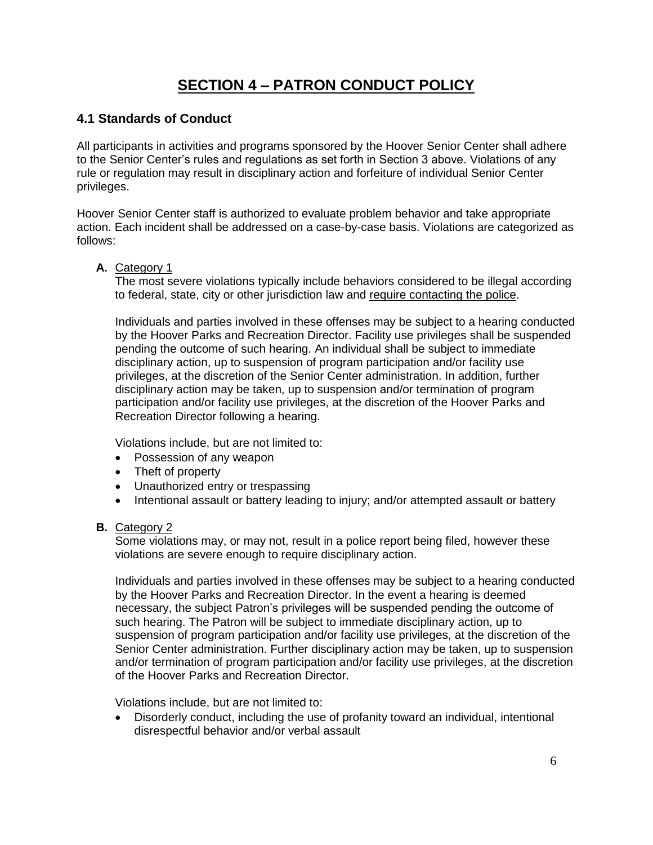## **SECTION 4** *–* **PATRON CONDUCT POLICY**

#### <span id="page-7-0"></span>**4.1 Standards of Conduct**

All participants in activities and programs sponsored by the Hoover Senior Center shall adhere to the Senior Center's rules and regulations as set forth in Section 3 above. Violations of any rule or regulation may result in disciplinary action and forfeiture of individual Senior Center privileges.

Hoover Senior Center staff is authorized to evaluate problem behavior and take appropriate action. Each incident shall be addressed on a case-by-case basis. Violations are categorized as follows:

#### **A.** Category 1

The most severe violations typically include behaviors considered to be illegal according to federal, state, city or other jurisdiction law and require contacting the police.

Individuals and parties involved in these offenses may be subject to a hearing conducted by the Hoover Parks and Recreation Director. Facility use privileges shall be suspended pending the outcome of such hearing. An individual shall be subject to immediate disciplinary action, up to suspension of program participation and/or facility use privileges, at the discretion of the Senior Center administration. In addition, further disciplinary action may be taken, up to suspension and/or termination of program participation and/or facility use privileges, at the discretion of the Hoover Parks and Recreation Director following a hearing.

Violations include, but are not limited to:

- Possession of any weapon
- Theft of property
- Unauthorized entry or trespassing
- Intentional assault or battery leading to injury; and/or attempted assault or battery

#### **B.** Category 2

Some violations may, or may not, result in a police report being filed, however these violations are severe enough to require disciplinary action.

Individuals and parties involved in these offenses may be subject to a hearing conducted by the Hoover Parks and Recreation Director. In the event a hearing is deemed necessary, the subject Patron's privileges will be suspended pending the outcome of such hearing. The Patron will be subject to immediate disciplinary action, up to suspension of program participation and/or facility use privileges, at the discretion of the Senior Center administration. Further disciplinary action may be taken, up to suspension and/or termination of program participation and/or facility use privileges, at the discretion of the Hoover Parks and Recreation Director.

Violations include, but are not limited to:

 Disorderly conduct, including the use of profanity toward an individual, intentional disrespectful behavior and/or verbal assault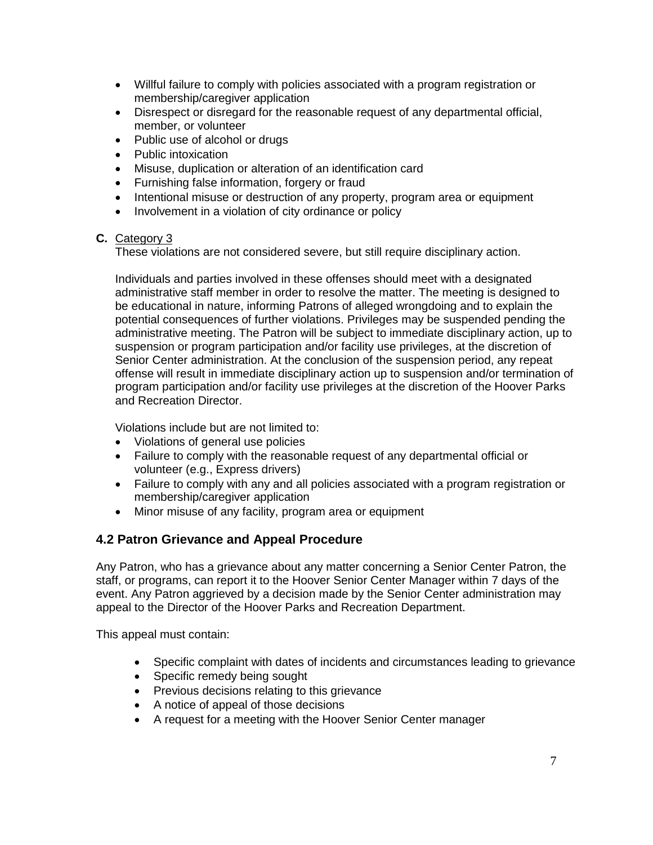- Willful failure to comply with policies associated with a program registration or membership/caregiver application
- Disrespect or disregard for the reasonable request of any departmental official, member, or volunteer
- Public use of alcohol or drugs
- Public intoxication
- Misuse, duplication or alteration of an identification card
- Furnishing false information, forgery or fraud
- Intentional misuse or destruction of any property, program area or equipment
- Involvement in a violation of city ordinance or policy

#### **C.** Category 3

These violations are not considered severe, but still require disciplinary action.

Individuals and parties involved in these offenses should meet with a designated administrative staff member in order to resolve the matter. The meeting is designed to be educational in nature, informing Patrons of alleged wrongdoing and to explain the potential consequences of further violations. Privileges may be suspended pending the administrative meeting. The Patron will be subject to immediate disciplinary action, up to suspension or program participation and/or facility use privileges, at the discretion of Senior Center administration. At the conclusion of the suspension period, any repeat offense will result in immediate disciplinary action up to suspension and/or termination of program participation and/or facility use privileges at the discretion of the Hoover Parks and Recreation Director.

Violations include but are not limited to:

- Violations of general use policies
- Failure to comply with the reasonable request of any departmental official or volunteer (e.g., Express drivers)
- Failure to comply with any and all policies associated with a program registration or membership/caregiver application
- Minor misuse of any facility, program area or equipment

#### **4.2 Patron Grievance and Appeal Procedure**

Any Patron, who has a grievance about any matter concerning a Senior Center Patron, the staff, or programs, can report it to the Hoover Senior Center Manager within 7 days of the event. Any Patron aggrieved by a decision made by the Senior Center administration may appeal to the Director of the Hoover Parks and Recreation Department.

This appeal must contain:

- Specific complaint with dates of incidents and circumstances leading to grievance
- Specific remedy being sought
- Previous decisions relating to this grievance
- A notice of appeal of those decisions
- A request for a meeting with the Hoover Senior Center manager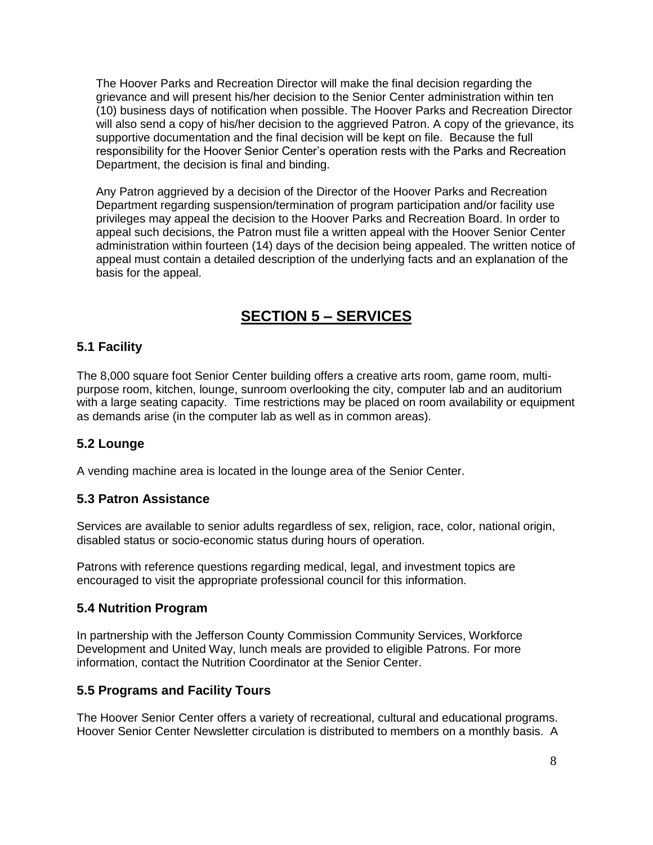The Hoover Parks and Recreation Director will make the final decision regarding the grievance and will present his/her decision to the Senior Center administration within ten (10) business days of notification when possible. The Hoover Parks and Recreation Director will also send a copy of his/her decision to the aggrieved Patron. A copy of the grievance, its supportive documentation and the final decision will be kept on file. Because the full responsibility for the Hoover Senior Center's operation rests with the Parks and Recreation Department, the decision is final and binding.

Any Patron aggrieved by a decision of the Director of the Hoover Parks and Recreation Department regarding suspension/termination of program participation and/or facility use privileges may appeal the decision to the Hoover Parks and Recreation Board. In order to appeal such decisions, the Patron must file a written appeal with the Hoover Senior Center administration within fourteen (14) days of the decision being appealed. The written notice of appeal must contain a detailed description of the underlying facts and an explanation of the basis for the appeal.

## **SECTION 5** *–* **SERVICES**

#### <span id="page-9-1"></span><span id="page-9-0"></span>**5.1 Facility**

The 8,000 square foot Senior Center building offers a creative arts room, game room, multipurpose room, kitchen, lounge, sunroom overlooking the city, computer lab and an auditorium with a large seating capacity. Time restrictions may be placed on room availability or equipment as demands arise (in the computer lab as well as in common areas).

#### <span id="page-9-2"></span>**5.2 Lounge**

A vending machine area is located in the lounge area of the Senior Center.

#### <span id="page-9-3"></span>**5.3 Patron Assistance**

Services are available to senior adults regardless of sex, religion, race, color, national origin, disabled status or socio-economic status during hours of operation.

Patrons with reference questions regarding medical, legal, and investment topics are encouraged to visit the appropriate professional council for this information.

#### <span id="page-9-4"></span>**5.4 Nutrition Program**

In partnership with the Jefferson County Commission Community Services, Workforce Development and United Way, lunch meals are provided to eligible Patrons. For more information, contact the Nutrition Coordinator at the Senior Center.

#### <span id="page-9-5"></span>**5.5 Programs and Facility Tours**

The Hoover Senior Center offers a variety of recreational, cultural and educational programs. Hoover Senior Center Newsletter circulation is distributed to members on a monthly basis. A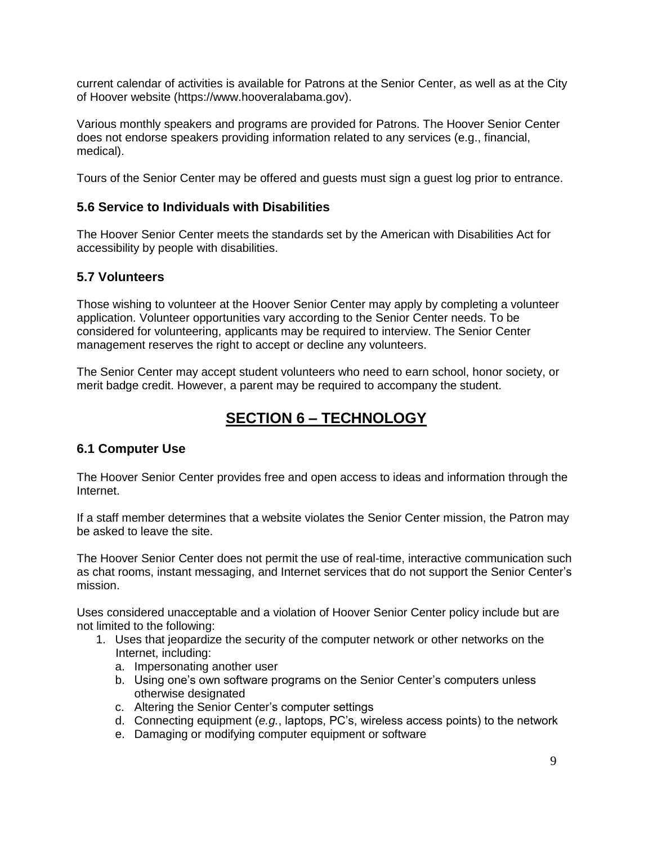current calendar of activities is available for Patrons at the Senior Center, as well as at the City of Hoover website (https://www.hooveralabama.gov).

Various monthly speakers and programs are provided for Patrons. The Hoover Senior Center does not endorse speakers providing information related to any services (e.g., financial, medical).

Tours of the Senior Center may be offered and guests must sign a guest log prior to entrance.

#### <span id="page-10-0"></span>**5.6 Service to Individuals with Disabilities**

The Hoover Senior Center meets the standards set by the American with Disabilities Act for accessibility by people with disabilities.

#### <span id="page-10-1"></span>**5.7 Volunteers**

Those wishing to volunteer at the Hoover Senior Center may apply by completing a volunteer application. Volunteer opportunities vary according to the Senior Center needs. To be considered for volunteering, applicants may be required to interview. The Senior Center management reserves the right to accept or decline any volunteers.

<span id="page-10-2"></span>The Senior Center may accept student volunteers who need to earn school, honor society, or merit badge credit. However, a parent may be required to accompany the student.

## **SECTION 6** *–* **TECHNOLOGY**

#### <span id="page-10-3"></span>**6.1 Computer Use**

The Hoover Senior Center provides free and open access to ideas and information through the Internet.

If a staff member determines that a website violates the Senior Center mission, the Patron may be asked to leave the site.

The Hoover Senior Center does not permit the use of real-time, interactive communication such as chat rooms, instant messaging, and Internet services that do not support the Senior Center's mission.

Uses considered unacceptable and a violation of Hoover Senior Center policy include but are not limited to the following:

- 1. Uses that jeopardize the security of the computer network or other networks on the Internet, including:
	- a. Impersonating another user
	- b. Using one's own software programs on the Senior Center's computers unless otherwise designated
	- c. Altering the Senior Center's computer settings
	- d. Connecting equipment (*e.g.*, laptops, PC's, wireless access points) to the network
	- e. Damaging or modifying computer equipment or software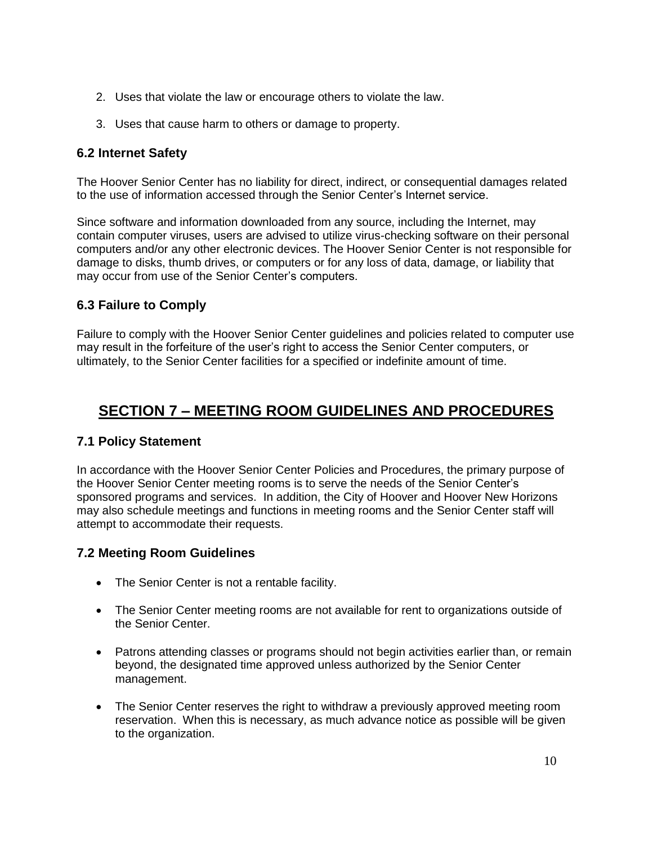- 2. Uses that violate the law or encourage others to violate the law.
- 3. Uses that cause harm to others or damage to property.

#### <span id="page-11-0"></span>**6.2 Internet Safety**

The Hoover Senior Center has no liability for direct, indirect, or consequential damages related to the use of information accessed through the Senior Center's Internet service.

Since software and information downloaded from any source, including the Internet, may contain computer viruses, users are advised to utilize virus-checking software on their personal computers and/or any other electronic devices. The Hoover Senior Center is not responsible for damage to disks, thumb drives, or computers or for any loss of data, damage, or liability that may occur from use of the Senior Center's computers.

#### <span id="page-11-1"></span>**6.3 Failure to Comply**

Failure to comply with the Hoover Senior Center guidelines and policies related to computer use may result in the forfeiture of the user's right to access the Senior Center computers, or ultimately, to the Senior Center facilities for a specified or indefinite amount of time.

## <span id="page-11-2"></span>**SECTION 7** *–* **MEETING ROOM GUIDELINES AND PROCEDURES**

#### <span id="page-11-3"></span>**7.1 Policy Statement**

In accordance with the Hoover Senior Center Policies and Procedures, the primary purpose of the Hoover Senior Center meeting rooms is to serve the needs of the Senior Center's sponsored programs and services. In addition, the City of Hoover and Hoover New Horizons may also schedule meetings and functions in meeting rooms and the Senior Center staff will attempt to accommodate their requests.

#### <span id="page-11-4"></span>**7.2 Meeting Room Guidelines**

- The Senior Center is not a rentable facility.
- The Senior Center meeting rooms are not available for rent to organizations outside of the Senior Center.
- Patrons attending classes or programs should not begin activities earlier than, or remain beyond, the designated time approved unless authorized by the Senior Center management.
- The Senior Center reserves the right to withdraw a previously approved meeting room reservation. When this is necessary, as much advance notice as possible will be given to the organization.